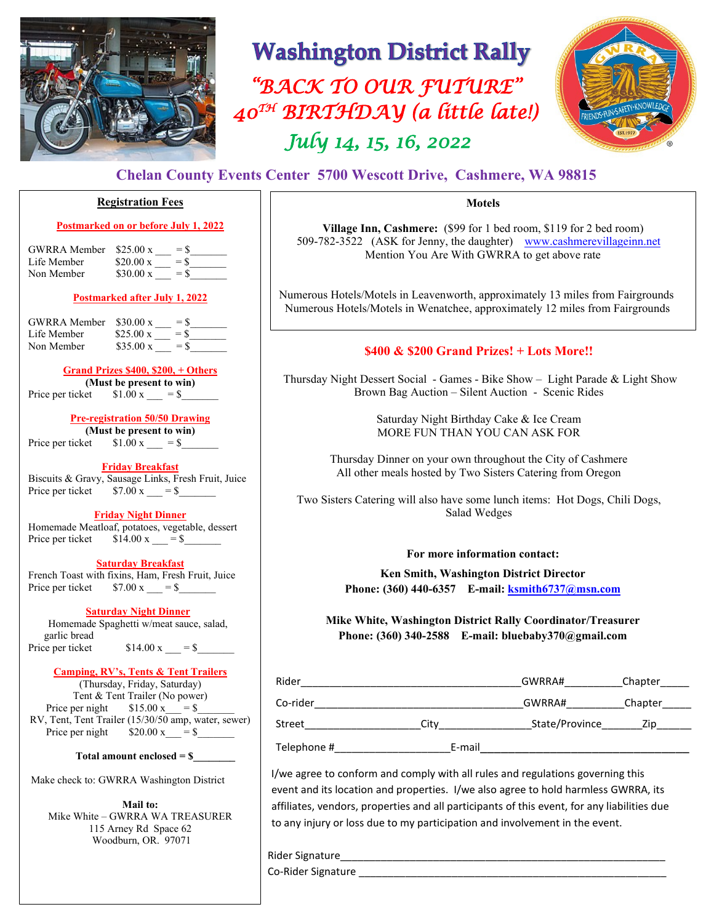

## **Washington District Rally**

 *"BACK TO OUR FUTURE" July 14, 15, 16, 2022 40TH BIRTHDAY (a little late!)* 



### **Chelan County Events Center 5700 Wescott Drive, Cashmere, WA 98815**

#### **Registration Fees**

#### **Postmarked on or before July 1, 2022**

| $$25.00 \text{ x}$ | $=$ S  |
|--------------------|--------|
| $$20.00 \times$    | $=$ S  |
| $$30.00 \text{ x}$ | $=$ \$ |
|                    |        |

#### **Postmarked after July 1, 2022**

| <b>GWRRA</b> Member | $$30.00 \text{ x}$<br>$=$ \$          |
|---------------------|---------------------------------------|
| Life Member         | $$25.00 \text{ x}$<br>$=$ \$          |
| Non Member          | $$35.00 \text{ x}$<br>$=$ S           |
|                     | $\alpha$ in $\alpha$ and can $\alpha$ |

#### **Grand Prizes \$400, \$200, + Others**

**(Must be present to win)** Price per ticket  $$1.00 \text{ x} = $$ 

#### **Pre-registration 50/50 Drawing**

**(Must be present to win)** Price per ticket  $$1.00 \text{ x} = $$ 

#### **Friday Breakfast**

Biscuits & Gravy, Sausage Links, Fresh Fruit, Juice Price per ticket  $$7.00 \text{ x } = $$ 

#### **Friday Night Dinner**

Homemade Meatloaf, potatoes, vegetable, dessert Price per ticket  $$14.00 \text{ x} = $$ 

#### **Saturday Breakfast**

 French Toast with fixins, Ham, Fresh Fruit, Juice Price per ticket  $$7.00 \text{ x} = $$ 

#### **Saturday Night Dinner**

Homemade Spaghetti w/meat sauce, salad, garlic bread Price per ticket  $$14.00 \text{ x} = $$ 

#### **Camping, RV's, Tents & Tent Trailers**

(Thursday, Friday, Saturday) Tent & Tent Trailer (No power) Price per night  $$15.00 \text{ x} = $$ RV, Tent, Tent Trailer (15/30/50 amp, water, sewer) Price per night  $$20.00 \text{ x } = $$ 

#### **Total amount enclosed = \$\_\_\_\_\_\_\_\_**

Make check to: GWRRA Washington District

**Mail to:** Mike White – GWRRA WA TREASURER 115 Arney Rd Space 62 Woodburn, OR. 97071

#### **Motels**

**Village Inn, Cashmere:** (\$99 for 1 bed room, \$119 for 2 bed room) 509-782-3522 (ASK for Jenny, the daughter) [www.cashmerevillageinn.n](http://www.cashmerevillageinn./)et Mention You Are With GWRRA to get above rate

Numerous Hotels/Motels in Leavenworth, approximately 13 miles from Fairgrounds Numerous Hotels/Motels in Wenatchee, approximately 12 miles from Fairgrounds

#### **\$400 & \$200 Grand Prizes! + Lots More!!**

Thursday Night Dessert Social - Games - Bike Show – Light Parade & Light Show Brown Bag Auction – Silent Auction - Scenic Rides

> Saturday Night Birthday Cake & Ice Cream MORE FUN THAN YOU CAN ASK FOR

Thursday Dinner on your own throughout the City of Cashmere All other meals hosted by Two Sisters Catering from Oregon

Two Sisters Catering will also have some lunch items: Hot Dogs, Chili Dogs, Salad Wedges

**For more information contact:**

**Ken Smith, Washington District Director Phone: (360) 440-6357 E-mail: [ksmith6737@msn.com](mailto:ksmith6737@msn.com)**

**Mike White, Washington District Rally Coordinator/Treasurer Phone: (360) 340-2588 E-mail: bluebaby370@gmail.com** 

| Rider       |        | GWRRA#         | Chapter |  |
|-------------|--------|----------------|---------|--|
| Co-rider    |        | GWRRA#         | Chapter |  |
| Street      | Citv   | State/Province | Zip     |  |
| Telephone # | E-mail |                |         |  |

 I/we agree to conform and comply with all rules and regulations governing this event and its location and properties. I/we also agree to hold harmless GWRRA, its affiliates, vendors, properties and all participants of this event, for any liabilities due to any injury or loss due to my participation and involvement in the event.

Rider Signature\_\_\_\_\_\_\_\_\_\_\_\_\_\_\_\_\_\_\_\_\_\_\_\_\_\_\_\_\_\_\_\_\_\_\_\_\_\_\_\_\_\_\_\_\_\_\_\_\_\_\_\_\_\_\_\_

Co-Rider Signature \_\_\_\_\_\_\_\_\_\_\_\_\_\_\_\_\_\_\_\_\_\_\_\_\_\_\_\_\_\_\_\_\_\_\_\_\_\_\_\_\_\_\_\_\_\_\_\_\_\_\_\_\_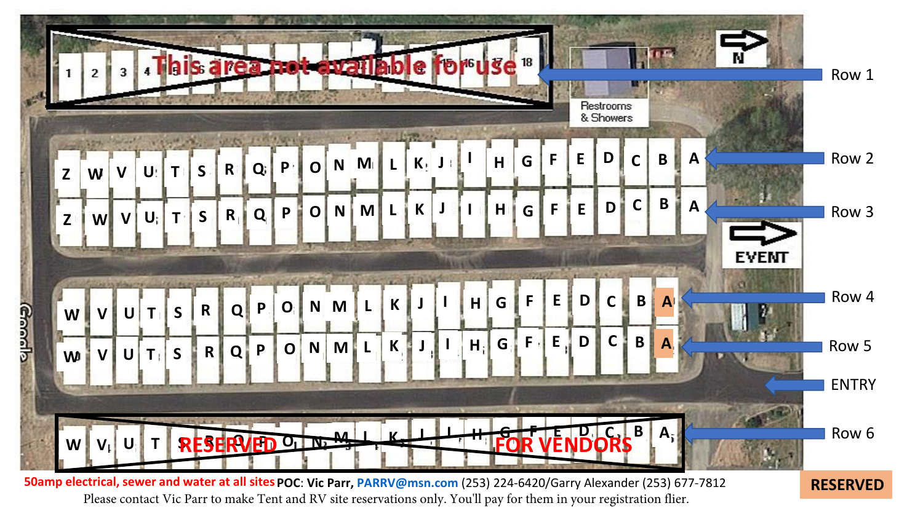

Please contact Vic Parr to make Tent and RV site reservations only. You'll pay for them in your registration flier.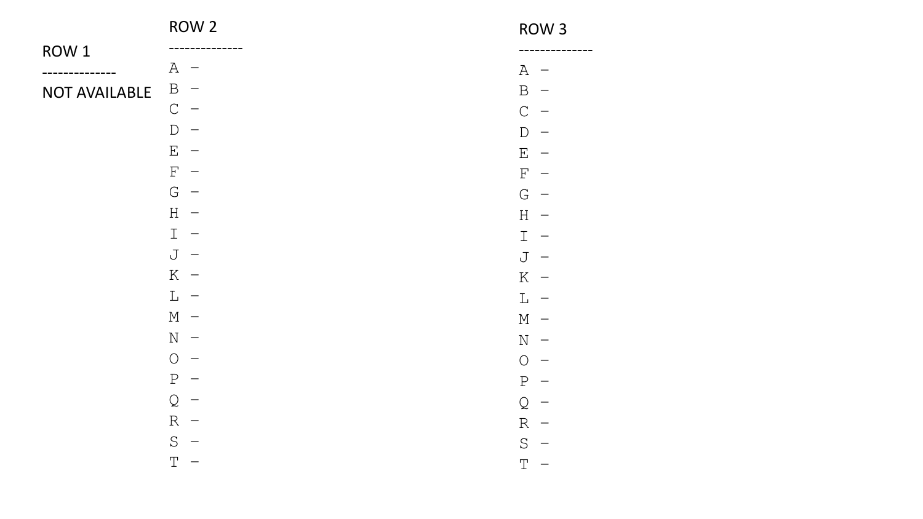|                                                                                                               | ROW 2                                          | ROW <sub>3</sub>                         |
|---------------------------------------------------------------------------------------------------------------|------------------------------------------------|------------------------------------------|
| ROW 1                                                                                                         |                                                |                                          |
|                                                                                                               | $A -$                                          | A<br>$\overline{\phantom{0}}$            |
| NOT AVAILABLE                                                                                                 | $\, {\bf B}$                                   | $\mathbf{B}$<br>$\overline{\phantom{0}}$ |
|                                                                                                               | $\mathsf{C}$                                   | $\mathcal{C}$                            |
|                                                                                                               | D                                              | $\Gamma$                                 |
|                                                                                                               | $\mathbf{E}% _{0}$<br>$\overline{\phantom{0}}$ | $E_{\perp}$                              |
|                                                                                                               | $\mathbf F$                                    | $\mathbf F$                              |
|                                                                                                               | G<br>$\overline{\phantom{0}}$                  | G<br>$\overline{\phantom{0}}$            |
|                                                                                                               | $H -$                                          | $H -$                                    |
| $\mathbb{I}$<br>$\overline{\phantom{0}}$<br>$\mathsf{J}$<br>$\overline{\phantom{0}}$<br>$K -$                 |                                                | $\mathbf{I}$<br>$\overline{\phantom{0}}$ |
|                                                                                                               |                                                | J<br>$\overline{\phantom{0}}$            |
|                                                                                                               |                                                | $K -$                                    |
|                                                                                                               | $L -$                                          | $L -$                                    |
|                                                                                                               | $M -$                                          | $M -$                                    |
|                                                                                                               | $\mathbf N$<br>$\overline{\phantom{0}}$        | $N -$                                    |
| $\bigcirc$<br>$\, {\bf P}$<br>$\mathsf{Q}$<br>$R -$<br>$\mathbf S$<br>$\mathbb T$<br>$\overline{\phantom{0}}$ |                                                | $\bigcirc$                               |
|                                                                                                               |                                                | P                                        |
|                                                                                                               |                                                | Q                                        |
|                                                                                                               |                                                | $R -$                                    |
|                                                                                                               |                                                | S<br>$\qquad \qquad \longleftarrow$      |
|                                                                                                               |                                                |                                          |
|                                                                                                               |                                                | $\mathbb T$                              |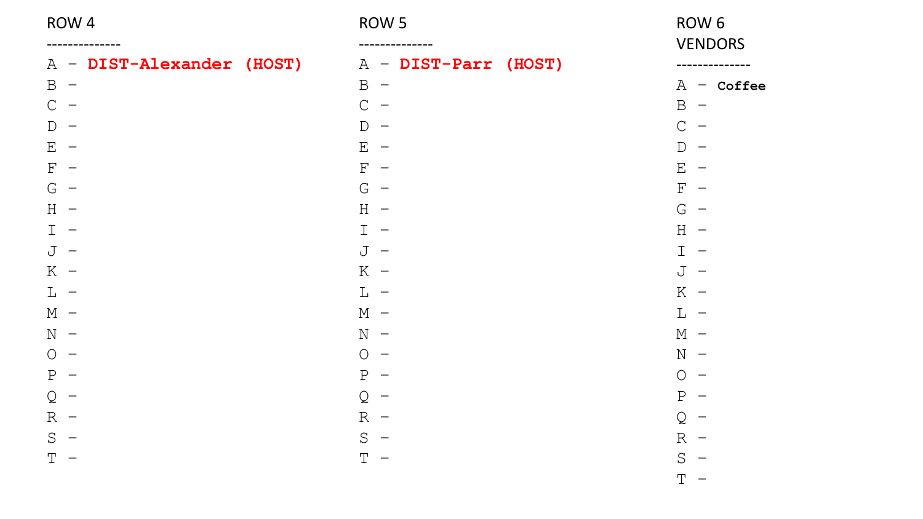ROW 4

| DIST-Alexander<br>Α | (HOST) |
|---------------------|--------|
| $\, {\bf B}$        |        |
| $\mathcal{C}$       |        |
| $\overline{D}$      |        |
| $\mathbf E$         |        |
| $\mathbf F$         |        |
| G                   |        |
| H                   |        |
| I                   |        |
| J                   |        |
| K                   |        |
| L                   |        |
| $\mathbb M$         |        |
| $\mathbf N$         |        |
| $\bigcirc$          |        |
| ${\bf P}$           |        |
| Q                   |        |
| $\mathbb R$         |        |
| S                   |        |
| Τ                   |        |

### ROW 5

| Α              | DIST-Parr (HOST)<br>- |  |
|----------------|-----------------------|--|
| $\, {\bf B}$   |                       |  |
| $\mathsf C$    |                       |  |
| $\overline{D}$ |                       |  |
| $\mathbf E$    |                       |  |
| $\mathbf F$    |                       |  |
| G              |                       |  |
| H              |                       |  |
| $\mathbbm{I}$  |                       |  |
| J              |                       |  |
| K              |                       |  |
| $\mathbb L$    |                       |  |
| $\mathbf M$    |                       |  |
| $\mathbf N$    |                       |  |
| $\bigcirc$     |                       |  |
| $\rm P$        |                       |  |
| Q              |                       |  |
| $\mathbb R$    |                       |  |
| S              |                       |  |
| T              |                       |  |

### ROW 6 VENDORS

| А                       | Coffee |
|-------------------------|--------|
| Β                       |        |
| $\overline{\mathsf{C}}$ |        |
| D                       |        |
| E                       |        |
| F                       |        |
| G                       |        |
| $\overline{H}$          |        |
| $\mathbf I$             |        |
| J                       |        |
| K                       |        |
| L                       |        |
| М                       |        |
| N                       |        |
| О                       |        |
| Ρ                       |        |
| Q                       |        |
| R                       |        |
| S                       |        |
| Т                       |        |